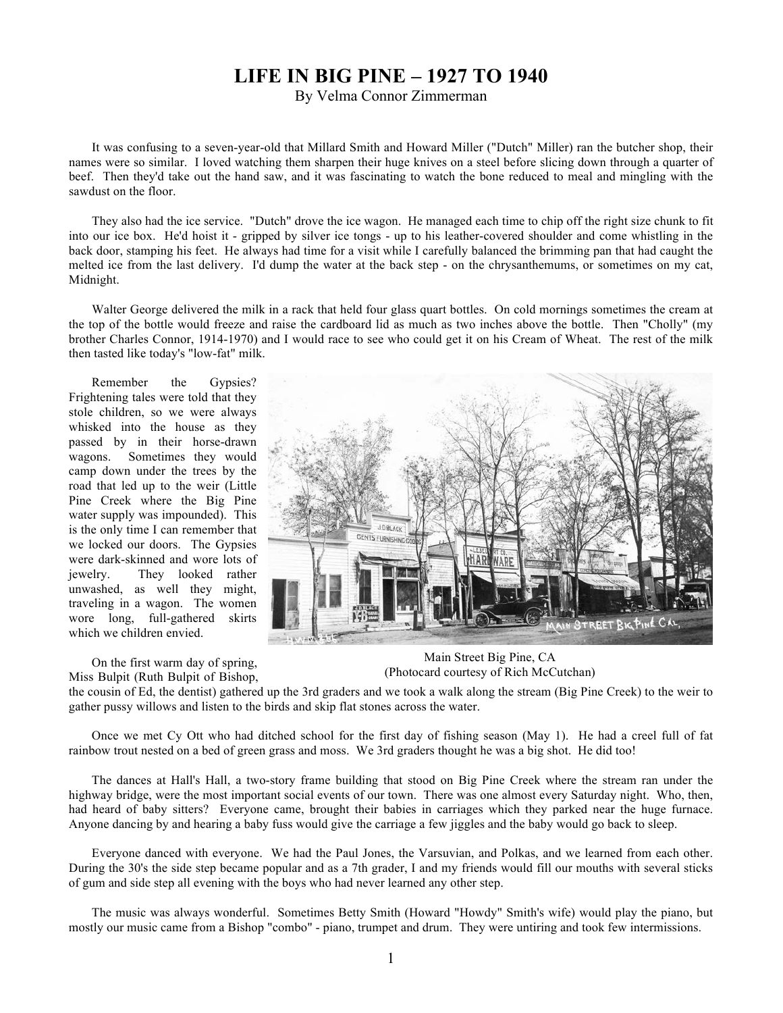## **LIFE IN BIG PINE – 1927 TO 1940**

By Velma Connor Zimmerman

It was confusing to a seven-year-old that Millard Smith and Howard Miller ("Dutch" Miller) ran the butcher shop, their names were so similar. I loved watching them sharpen their huge knives on a steel before slicing down through a quarter of beef. Then they'd take out the hand saw, and it was fascinating to watch the bone reduced to meal and mingling with the sawdust on the floor.

They also had the ice service. "Dutch" drove the ice wagon. He managed each time to chip off the right size chunk to fit into our ice box. He'd hoist it - gripped by silver ice tongs - up to his leather-covered shoulder and come whistling in the back door, stamping his feet. He always had time for a visit while I carefully balanced the brimming pan that had caught the melted ice from the last delivery. I'd dump the water at the back step - on the chrysanthemums, or sometimes on my cat, Midnight.

Walter George delivered the milk in a rack that held four glass quart bottles. On cold mornings sometimes the cream at the top of the bottle would freeze and raise the cardboard lid as much as two inches above the bottle. Then "Cholly" (my brother Charles Connor, 1914-1970) and I would race to see who could get it on his Cream of Wheat. The rest of the milk then tasted like today's "low-fat" milk.

Remember the Gypsies? Frightening tales were told that they stole children, so we were always whisked into the house as they passed by in their horse-drawn wagons. Sometimes they would camp down under the trees by the road that led up to the weir (Little Pine Creek where the Big Pine water supply was impounded). This is the only time I can remember that we locked our doors. The Gypsies were dark-skinned and wore lots of jewelry. They looked rather unwashed, as well they might, traveling in a wagon. The women wore long, full-gathered skirts which we children envied.

On the first warm day of spring, Miss Bulpit (Ruth Bulpit of Bishop,

JOBI Arv **ENTS FURNISHING** TREET BIG PINE CAL

Main Street Big Pine, CA (Photocard courtesy of Rich McCutchan)

the cousin of Ed, the dentist) gathered up the 3rd graders and we took a walk along the stream (Big Pine Creek) to the weir to gather pussy willows and listen to the birds and skip flat stones across the water.

Once we met Cy Ott who had ditched school for the first day of fishing season (May 1). He had a creel full of fat rainbow trout nested on a bed of green grass and moss. We 3rd graders thought he was a big shot. He did too!

The dances at Hall's Hall, a two-story frame building that stood on Big Pine Creek where the stream ran under the highway bridge, were the most important social events of our town. There was one almost every Saturday night. Who, then, had heard of baby sitters? Everyone came, brought their babies in carriages which they parked near the huge furnace. Anyone dancing by and hearing a baby fuss would give the carriage a few jiggles and the baby would go back to sleep.

Everyone danced with everyone. We had the Paul Jones, the Varsuvian, and Polkas, and we learned from each other. During the 30's the side step became popular and as a 7th grader, I and my friends would fill our mouths with several sticks of gum and side step all evening with the boys who had never learned any other step.

The music was always wonderful. Sometimes Betty Smith (Howard "Howdy" Smith's wife) would play the piano, but mostly our music came from a Bishop "combo" - piano, trumpet and drum. They were untiring and took few intermissions.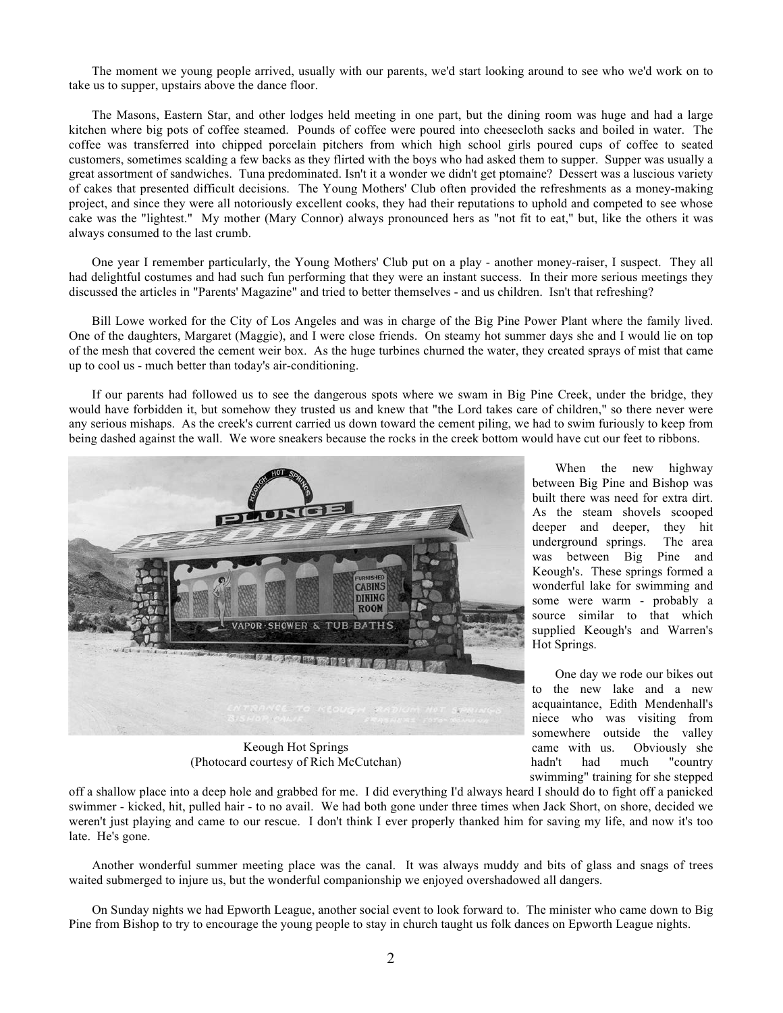The moment we young people arrived, usually with our parents, we'd start looking around to see who we'd work on to take us to supper, upstairs above the dance floor.

The Masons, Eastern Star, and other lodges held meeting in one part, but the dining room was huge and had a large kitchen where big pots of coffee steamed. Pounds of coffee were poured into cheesecloth sacks and boiled in water. The coffee was transferred into chipped porcelain pitchers from which high school girls poured cups of coffee to seated customers, sometimes scalding a few backs as they flirted with the boys who had asked them to supper. Supper was usually a great assortment of sandwiches. Tuna predominated. Isn't it a wonder we didn't get ptomaine? Dessert was a luscious variety of cakes that presented difficult decisions. The Young Mothers' Club often provided the refreshments as a money-making project, and since they were all notoriously excellent cooks, they had their reputations to uphold and competed to see whose cake was the "lightest." My mother (Mary Connor) always pronounced hers as "not fit to eat," but, like the others it was always consumed to the last crumb.

One year I remember particularly, the Young Mothers' Club put on a play - another money-raiser, I suspect. They all had delightful costumes and had such fun performing that they were an instant success. In their more serious meetings they discussed the articles in "Parents' Magazine" and tried to better themselves - and us children. Isn't that refreshing?

Bill Lowe worked for the City of Los Angeles and was in charge of the Big Pine Power Plant where the family lived. One of the daughters, Margaret (Maggie), and I were close friends. On steamy hot summer days she and I would lie on top of the mesh that covered the cement weir box. As the huge turbines churned the water, they created sprays of mist that came up to cool us - much better than today's air-conditioning.

If our parents had followed us to see the dangerous spots where we swam in Big Pine Creek, under the bridge, they would have forbidden it, but somehow they trusted us and knew that "the Lord takes care of children," so there never were any serious mishaps. As the creek's current carried us down toward the cement piling, we had to swim furiously to keep from being dashed against the wall. We wore sneakers because the rocks in the creek bottom would have cut our feet to ribbons.



Keough Hot Springs (Photocard courtesy of Rich McCutchan)

When the new highway between Big Pine and Bishop was built there was need for extra dirt. As the steam shovels scooped deeper and deeper, they hit underground springs. The area was between Big Pine and Keough's. These springs formed a wonderful lake for swimming and some were warm - probably a source similar to that which supplied Keough's and Warren's Hot Springs.

One day we rode our bikes out to the new lake and a new acquaintance, Edith Mendenhall's niece who was visiting from somewhere outside the valley came with us. Obviously she hadn't had much "country swimming" training for she stepped

off a shallow place into a deep hole and grabbed for me. I did everything I'd always heard I should do to fight off a panicked swimmer - kicked, hit, pulled hair - to no avail. We had both gone under three times when Jack Short, on shore, decided we weren't just playing and came to our rescue. I don't think I ever properly thanked him for saving my life, and now it's too late. He's gone.

Another wonderful summer meeting place was the canal. It was always muddy and bits of glass and snags of trees waited submerged to injure us, but the wonderful companionship we enjoyed overshadowed all dangers.

On Sunday nights we had Epworth League, another social event to look forward to. The minister who came down to Big Pine from Bishop to try to encourage the young people to stay in church taught us folk dances on Epworth League nights.